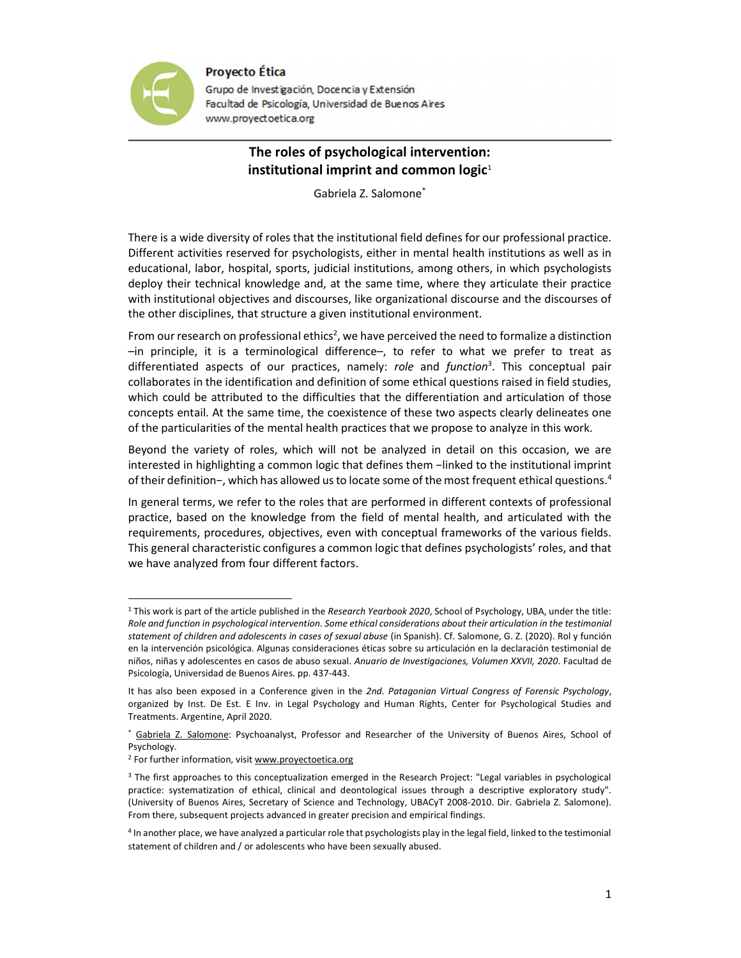

**Proyecto Ética** 

Grupo de Investigación, Docencia y Extensión Facultad de Psicología, Universidad de Buenos Aires www.proyectoetica.org

## The roles of psychological intervention: institutional imprint and common logic $1$

Gabriela Z. Salomone\*

There is a wide diversity of roles that the institutional field defines for our professional practice. Different activities reserved for psychologists, either in mental health institutions as well as in educational, labor, hospital, sports, judicial institutions, among others, in which psychologists deploy their technical knowledge and, at the same time, where they articulate their practice with institutional objectives and discourses, like organizational discourse and the discourses of the other disciplines, that structure a given institutional environment.

From our research on professional ethics<sup>2</sup>, we have perceived the need to formalize a distinction –in principle, it is a terminological difference–, to refer to what we prefer to treat as differentiated aspects of our practices, namely: role and function<sup>3</sup>. This conceptual pair collaborates in the identification and definition of some ethical questions raised in field studies, which could be attributed to the difficulties that the differentiation and articulation of those concepts entail. At the same time, the coexistence of these two aspects clearly delineates one of the particularities of the mental health practices that we propose to analyze in this work.

Beyond the variety of roles, which will not be analyzed in detail on this occasion, we are interested in highlighting a common logic that defines them −linked to the institutional imprint of their definition−, which has allowed us to locate some of the most frequent ethical questions.<sup>4</sup>

In general terms, we refer to the roles that are performed in different contexts of professional practice, based on the knowledge from the field of mental health, and articulated with the requirements, procedures, objectives, even with conceptual frameworks of the various fields. This general characteristic configures a common logic that defines psychologists' roles, and that we have analyzed from four different factors.

<sup>&</sup>lt;sup>1</sup> This work is part of the article published in the Research Yearbook 2020, School of Psychology, UBA, under the title: Role and function in psychological intervention. Some ethical considerations about their articulation in the testimonial statement of children and adolescents in cases of sexual abuse (in Spanish). Cf. Salomone, G. Z. (2020). Rol y función en la intervención psicológica. Algunas consideraciones éticas sobre su articulación en la declaración testimonial de niños, niñas y adolescentes en casos de abuso sexual. Anuario de Investigaciones, Volumen XXVII, 2020. Facultad de Psicología, Universidad de Buenos Aires. pp. 437-443.

It has also been exposed in a Conference given in the 2nd. Patagonian Virtual Congress of Forensic Psychology, organized by Inst. De Est. E Inv. in Legal Psychology and Human Rights, Center for Psychological Studies and Treatments. Argentine, April 2020.

<sup>\*</sup> Gabriela Z. Salomone: Psychoanalyst, Professor and Researcher of the University of Buenos Aires, School of Psychology.

<sup>&</sup>lt;sup>2</sup> For further information, visit www.proyectoetica.org

<sup>3</sup> The first approaches to this conceptualization emerged in the Research Project: "Legal variables in psychological practice: systematization of ethical, clinical and deontological issues through a descriptive exploratory study". (University of Buenos Aires, Secretary of Science and Technology, UBACyT 2008-2010. Dir. Gabriela Z. Salomone). From there, subsequent projects advanced in greater precision and empirical findings.

<sup>4</sup> In another place, we have analyzed a particular role that psychologists play in the legal field, linked to the testimonial statement of children and / or adolescents who have been sexually abused.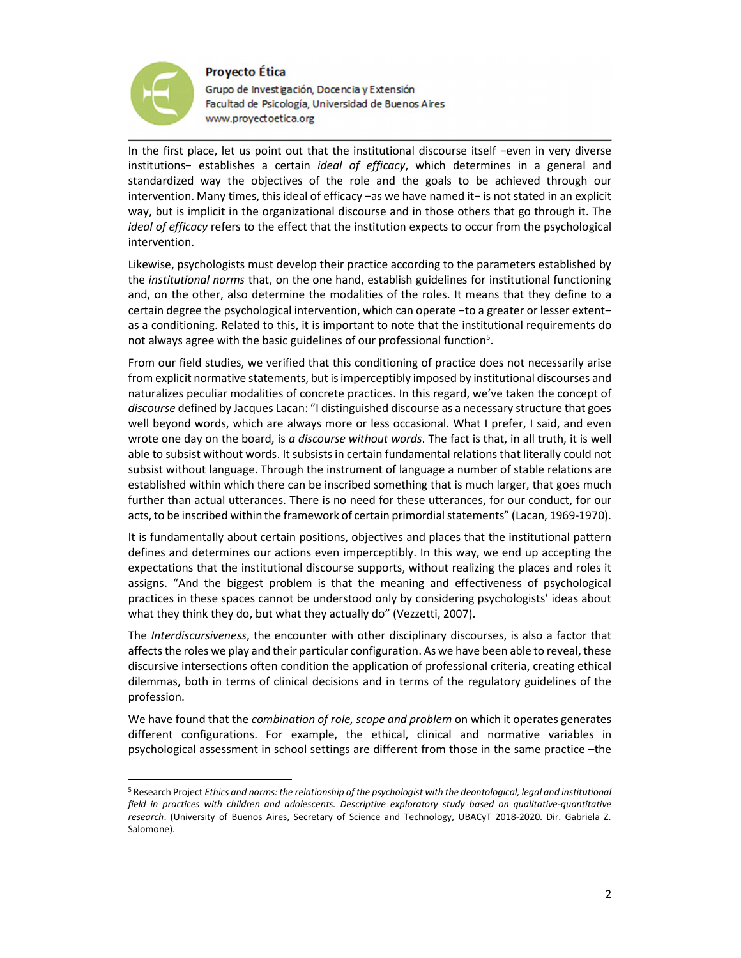## **Proyecto Ética**



Grupo de Investigación, Docencia y Extensión Facultad de Psicología, Universidad de Buenos Aires www.proyectoetica.org

In the first place, let us point out that the institutional discourse itself −even in very diverse institutions− establishes a certain ideal of efficacy, which determines in a general and standardized way the objectives of the role and the goals to be achieved through our intervention. Many times, this ideal of efficacy −as we have named it− is not stated in an explicit way, but is implicit in the organizational discourse and in those others that go through it. The ideal of efficacy refers to the effect that the institution expects to occur from the psychological intervention.

Likewise, psychologists must develop their practice according to the parameters established by the institutional norms that, on the one hand, establish guidelines for institutional functioning and, on the other, also determine the modalities of the roles. It means that they define to a certain degree the psychological intervention, which can operate −to a greater or lesser extent− as a conditioning. Related to this, it is important to note that the institutional requirements do not always agree with the basic guidelines of our professional function<sup>5</sup>.

From our field studies, we verified that this conditioning of practice does not necessarily arise from explicit normative statements, but is imperceptibly imposed by institutional discourses and naturalizes peculiar modalities of concrete practices. In this regard, we've taken the concept of discourse defined by Jacques Lacan: "I distinguished discourse as a necessary structure that goes well beyond words, which are always more or less occasional. What I prefer, I said, and even wrote one day on the board, is a discourse without words. The fact is that, in all truth, it is well able to subsist without words. It subsists in certain fundamental relations that literally could not subsist without language. Through the instrument of language a number of stable relations are established within which there can be inscribed something that is much larger, that goes much further than actual utterances. There is no need for these utterances, for our conduct, for our acts, to be inscribed within the framework of certain primordial statements" (Lacan, 1969-1970).

It is fundamentally about certain positions, objectives and places that the institutional pattern defines and determines our actions even imperceptibly. In this way, we end up accepting the expectations that the institutional discourse supports, without realizing the places and roles it assigns. "And the biggest problem is that the meaning and effectiveness of psychological practices in these spaces cannot be understood only by considering psychologists' ideas about what they think they do, but what they actually do" (Vezzetti, 2007).

The Interdiscursiveness, the encounter with other disciplinary discourses, is also a factor that affects the roles we play and their particular configuration. As we have been able to reveal, these discursive intersections often condition the application of professional criteria, creating ethical dilemmas, both in terms of clinical decisions and in terms of the regulatory guidelines of the profession.

We have found that the *combination of role, scope and problem* on which it operates generates different configurations. For example, the ethical, clinical and normative variables in psychological assessment in school settings are different from those in the same practice –the

<sup>&</sup>lt;sup>5</sup> Research Project Ethics and norms: the relationship of the psychologist with the deontological, legal and institutional field in practices with children and adolescents. Descriptive exploratory study based on qualitative-quantitative research. (University of Buenos Aires, Secretary of Science and Technology, UBACyT 2018-2020. Dir. Gabriela Z. Salomone).